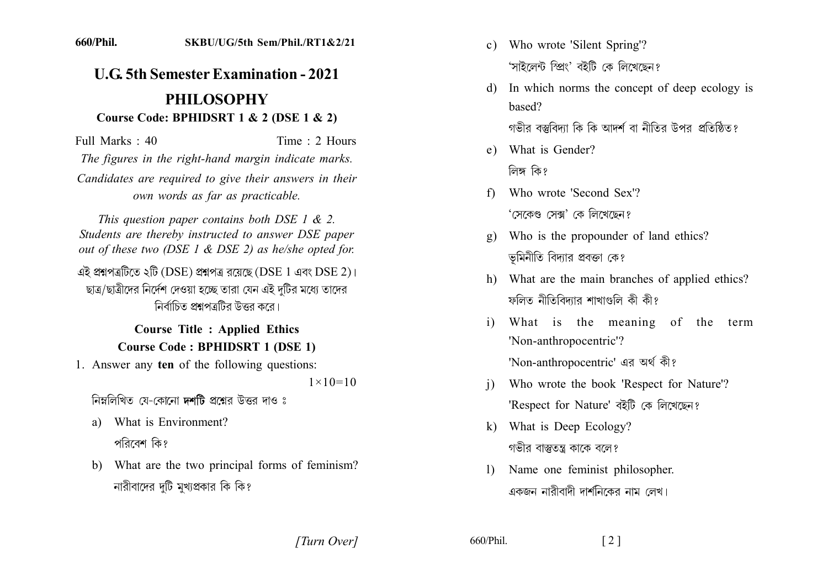## **U.G. 5th Semester Examination - 2021 PHILOSOPHY**

## Course Code: BPHIDSRT  $1 \& 2$  (DSE  $1 \& 2$ )

Full Marks  $\cdot$  40 Time  $\cdot$  2 Hours The figures in the right-hand margin indicate marks. Candidates are required to give their answers in their

own words as far as practicable.

This question paper contains both DSE 1  $\&$  2. Students are thereby instructed to answer DSE paper out of these two (DSE 1 & DSE 2) as he/she opted for.

এই প্রশ্নপত্রটিতে ২টি (DSE) প্রশ্নপত্র রয়েছে (DSE 1 এবং DSE 2)। ছাত্র/ছাত্রীদের নির্দেশ দেওয়া হচ্ছে তারা যেন এই দটির মধ্যে তাদের নির্বাচিত প্রশ্নপত্রটির উত্তর করে।

> **Course Title : Applied Ethics Course Code: BPHIDSRT 1 (DSE 1)**

1. Answer any ten of the following questions:

 $1 \times 10 = 10$ 

নিম্নলিখিত যে-কোনো **দশটি** প্রশ্নের উত্তর দাও ঃ

- a) What is Environment? পরিবেশ কি?
- b) What are the two principal forms of feminism? নারীবাদের দটি মুখ্যপ্রকার কি কি?
- c) Who wrote 'Silent Spring'? 'সাইলেন্ট স্প্রিং' বইটি কে লিখেছেন?
- d) In which norms the concept of deep ecology is based?

গভীর বস্তুবিদ্যা কি কি আদর্শ বা নীতির উপর প্রতিষ্ঠিত?

- e) What is Gender? লিঙ্গ কি?
- f) Who wrote 'Second Sex'? 'সেকেণ্ড সেক্স' কে লিখেছেন?
- Who is the propounder of land ethics?  $\mathfrak{g}$ ) ভূমিনীতি বিদ্যার প্রবক্তা কে?
- h) What are the main branches of applied ethics? ফলিত নীতিবিদ্যার শাখাগুলি কী কী?
- What is the meaning of the term  $\left( i\right)$ 'Non-anthropocentric'? 'Non-anthropocentric' এর অর্থ কী?
- Who wrote the book 'Respect for Nature'?  $\mathbf{i}$ 'Respect for Nature' বইটি কে লিখেছেন?
- k) What is Deep Ecology? গভীর বাস্তুতন্ত্র কাকে বলে?
- Name one feminist philosopher.  $\mathbf{D}$ একজন নারীবাদী দার্শনিকের নাম লেখ।

[Turn Over]

660/Phil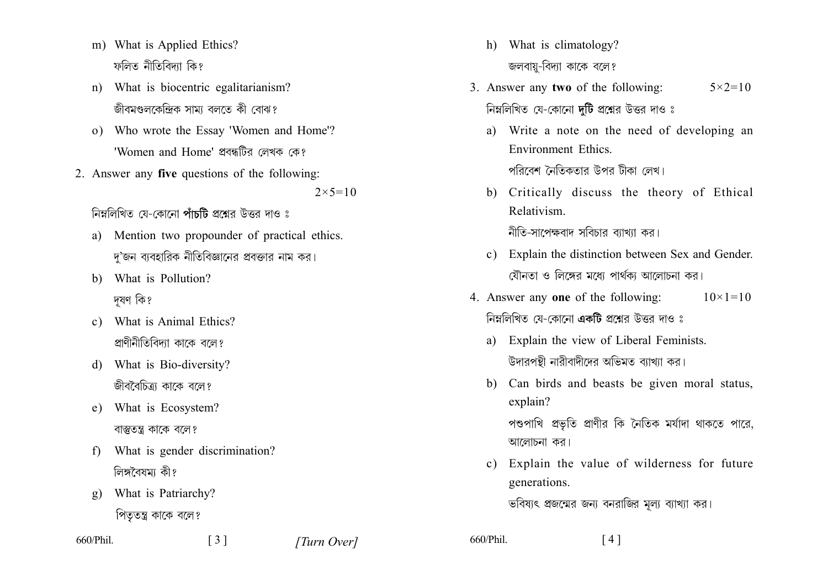- m) What is Applied Ethics? ফলিত নীতিবিদ্যা কি?
- n) What is biocentric egalitarianism? জীবমণ্ডলকেন্দ্রিক সাম্য বলতে কী বোঝ?
- o) Who wrote the Essay 'Women and Home'? 'Women and Home' প্রবন্ধটির লেখক কে?
- 2. Answer any five questions of the following:

 $2 \times 5 = 10$ 

নিম্নলিখিত যে-কোনো পাঁচটি প্রশ্নের উত্তর দাও ঃ

- a) Mention two propounder of practical ethics. দ'জন ব্যবহারিক নীতিবিজ্ঞানের প্রবক্তার নাম কর।
- b) What is Pollution? দযণ কি?
- c) What is Animal Ethics? প্রাণীনীতিবিদ্যা কাকে বলে?
- d) What is Bio-diversity? জীববৈচিত্র্য কাকে বলে?
- e) What is Ecosystem? বাস্তুতন্ত্র কাকে বলে?
- What is gender discrimination?  $f$ লিঙ্গবৈষমা কী?
- What is Patriarchy?  $g)$

পিতৃতন্ত্র কাকে বলে?

660/Phil.

[Turn Over]

- h) What is climatology? জলবায়-বিদ্যা কাকে বলে?
- 3. Answer any two of the following:  $5 \times 2 = 10$ নিম্নলিখিত যে-কোনো দটি প্রশ্নের উত্তর দাও ঃ
	- a) Write a note on the need of developing an **Environment Ethics** পবিবেশ নৈতিকতার উপর টীকা লেখ।
	- b) Critically discuss the theory of Ethical Relativism

নীতি-সাপেক্ষবাদ সবিচার ব্যাখ্যা কর।

- c) Explain the distinction between Sex and Gender. যৌনতা ও লিঙ্গের মধ্যে পার্থকা আলোচনা কর।
- 4. Answer any one of the following:  $10 \times 1 = 10$ নিম্নলিখিত যে-কোনো **একটি** প্রশ্নের উত্তর দাও ঃ
	- a) Explain the view of Liberal Feminists. উদারপন্থী নারীবাদীদের অভিমত ব্যাখ্যা কর।
	- b) Can birds and beasts be given moral status, explain? পশুপাখি প্রভৃতি প্রাণীর কি নৈতিক মর্যাদা থাকতে পারে, আলোচনা কর।
	- c) Explain the value of wilderness for future generations.

ভবিষ্যৎ প্রজন্মের জন্য বনরাজির মূল্য ব্যাখ্যা কর।

 $\lceil 4 \rceil$ 

660/Phil.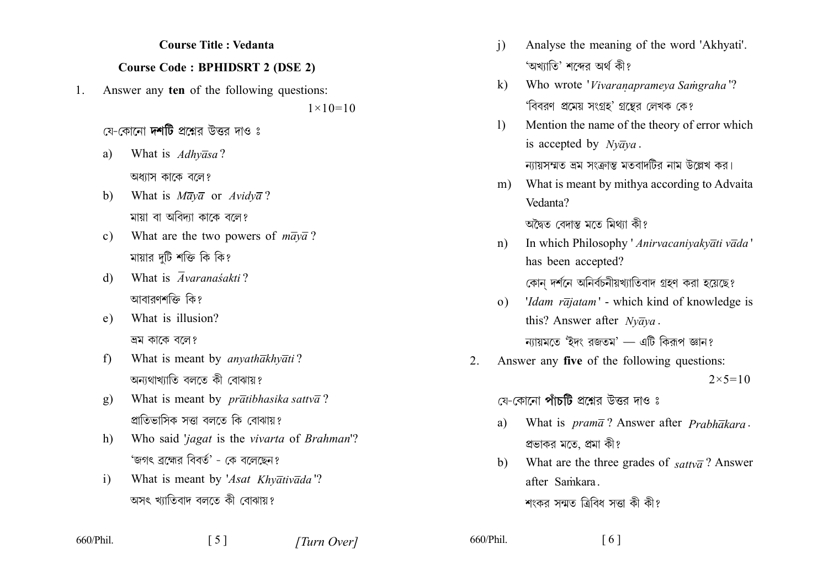## **Course Title : Vedanta**

## **Course Code: BPHIDSRT 2 (DSE 2)**

Answer any ten of the following questions:  $1_{-}$ 

 $1 \times 10 = 10$ 

- যে-কোনো **দশটি** প্ৰশ্নেব উত্তব দাও ঃ
- What is Adhyasa? a) অধ্যাস কাকে বলে?
- What is  $M \overline{a} y \overline{a}$  or  $Avidy \overline{a}$ ?  $b)$ মায়া বা অবিদ্যা কাকে বলে?
- What are the two powers of  $m\overline{a}y\overline{a}$ ?  $c)$ মায়ার দটি শক্তি কি কি?
- What is  $\overline{A}varanasakti$ ?  $\mathbf{d}$ আবারণশক্তি কি?
- What is illusion?  $e)$ ভ্রম কাকে বলে?
- $f$ What is meant by *anvathakhvati?* অন্যথাখ্যাতি বলতে কী বোঝায়?
- What is meant by *pratibhasika sattva*?  $g)$ প্রাতিভাসিক সত্তা বলতে কি বোঝায়?
- Who said 'jagat is the vivarta of Brahman'?  $h)$ 'জগৎ ব্রহ্মের বিবর্ত' - কে বলেছেন?
- What is meant by 'Asat Khyativada'?  $\mathbf{i}$ অসৎ খ্যাতিবাদ বলতে কী বোঝায়?

 $\lceil 5 \rceil$ 

- $\mathbf{i}$ Analyse the meaning of the word 'Akhyati'. 'অখ্যাতি' শব্দের অর্থ কী?
- Who wrote 'Vivaranaprameva Samgraha'?  $k$ ) 'বিবরণ প্রমেয় সংগ্রহ' গ্রন্তের লেখক কে?
- Mention the name of the theory of error which  $\mathbf{D}$ is accepted by  $Nv\overline{a}va$ .

ন্যায়সম্মত ভ্রম সংক্রান্ত মতবাদটির নাম উল্লেখ কর।

What is meant by mithya according to Advaita m) Vedanta?

অদ্বৈত বেদান্ত মতে মিথাা কী?

- In which Philosophy ' Anirvacanivakvati vada'  $n$ ) has been accepted? কোন দর্শনে অনির্বচনীয়খ্যাতিবাদ গ্রহণ করা হয়েছে?
- *'Idam rajatam'* which kind of knowledge is  $(0)$ this? Answer after  $Nv\overline{a}va$ . ন্যায়মতে 'ইদং রজতম' — এটি কিরূপ জ্ঞান?
- Answer any five of the following questions:  $2_{\cdot}$  $2 \times 5 = 10$

যে-কোনো **পাঁচটি** প্রশ্নের উত্তর দাও ঃ

- What is  $pram\bar{a}$ ? Answer after  $Prabh\bar{a}kara$ . a) প্রভাকর মতে, প্রমা কী?
- What are the three grades of  $sattv\overline{a}$ ? Answer  $h$ ) after Samkara.

শংকর সন্মত ত্রিবিধ সত্তা কী কী?

660/Phil.